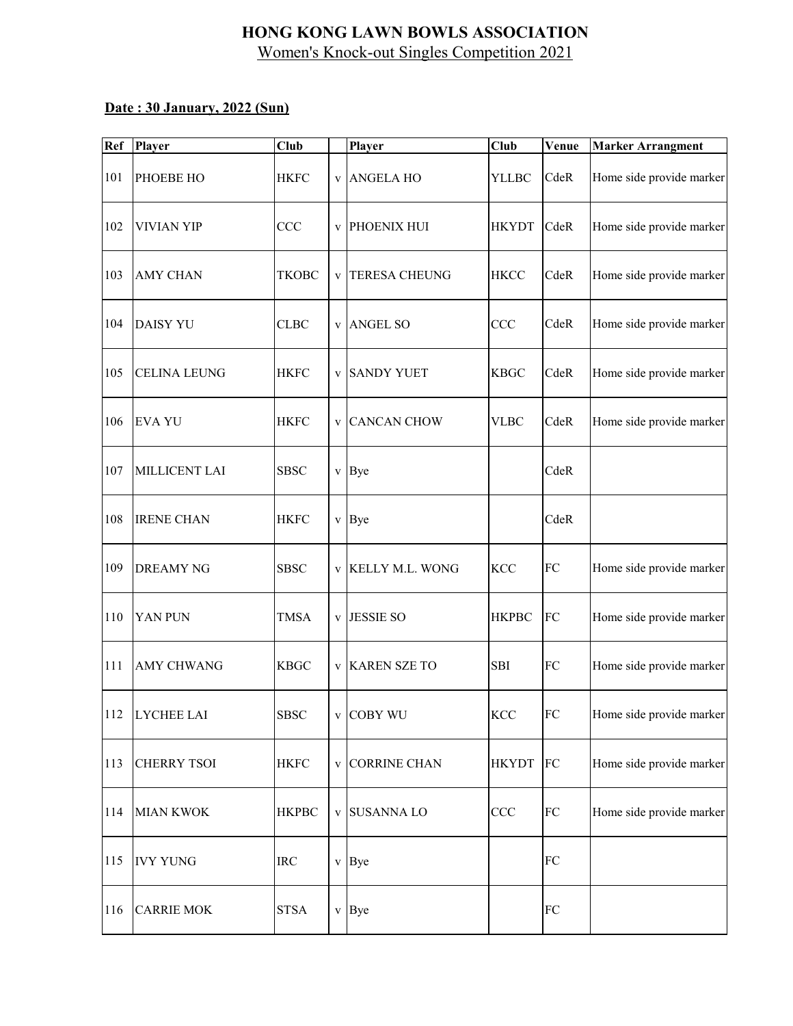| Ref | <b>Player</b>       | <b>Club</b>  |   | <b>Player</b>        | Club         | Venue      | <b>Marker Arrangment</b> |
|-----|---------------------|--------------|---|----------------------|--------------|------------|--------------------------|
| 101 | PHOEBE HO           | <b>HKFC</b>  |   | v ANGELA HO          | <b>YLLBC</b> | CdeR       | Home side provide marker |
| 102 | <b>VIVIAN YIP</b>   | CCC          |   | v PHOENIX HUI        | <b>HKYDT</b> | CdeR       | Home side provide marker |
| 103 | <b>AMY CHAN</b>     | TKOBC        | V | <b>TERESA CHEUNG</b> | <b>HKCC</b>  | CdeR       | Home side provide marker |
| 104 | <b>DAISY YU</b>     | <b>CLBC</b>  |   | v ANGEL SO           | CCC          | CdeR       | Home side provide marker |
| 105 | <b>CELINA LEUNG</b> | <b>HKFC</b>  |   | v SANDY YUET         | <b>KBGC</b>  | CdeR       | Home side provide marker |
| 106 | <b>EVA YU</b>       | <b>HKFC</b>  |   | v CANCAN CHOW        | <b>VLBC</b>  | CdeR       | Home side provide marker |
| 107 | MILLICENT LAI       | <b>SBSC</b>  |   | v Bye                |              | CdeR       |                          |
| 108 | <b>IRENE CHAN</b>   | <b>HKFC</b>  |   | v Bye                |              | CdeR       |                          |
| 109 | <b>DREAMY NG</b>    | <b>SBSC</b>  |   | v KELLY M.L. WONG    | KCC          | ${\rm FC}$ | Home side provide marker |
| 110 | YAN PUN             | TMSA         | V | <b>JESSIE SO</b>     | <b>HKPBC</b> | FC         | Home side provide marker |
| 111 | <b>AMY CHWANG</b>   | <b>KBGC</b>  |   | v KAREN SZE TO       | <b>SBI</b>   | ${\rm FC}$ | Home side provide marker |
|     | 112 LYCHEE LAI      | <b>SBSC</b>  |   | v COBY WU            | <b>KCC</b>   | ${\rm FC}$ | Home side provide marker |
| 113 | <b>CHERRY TSOI</b>  | <b>HKFC</b>  |   | v CORRINE CHAN       | <b>HKYDT</b> | FC         | Home side provide marker |
| 114 | <b>MIAN KWOK</b>    | <b>HKPBC</b> |   | v SUSANNA LO         | CCC          | ${\rm FC}$ | Home side provide marker |
| 115 | <b>IVY YUNG</b>     | <b>IRC</b>   |   | v Bye                |              | ${\rm FC}$ |                          |
| 116 | <b>CARRIE MOK</b>   | <b>STSA</b>  |   | v Bye                |              | ${\rm FC}$ |                          |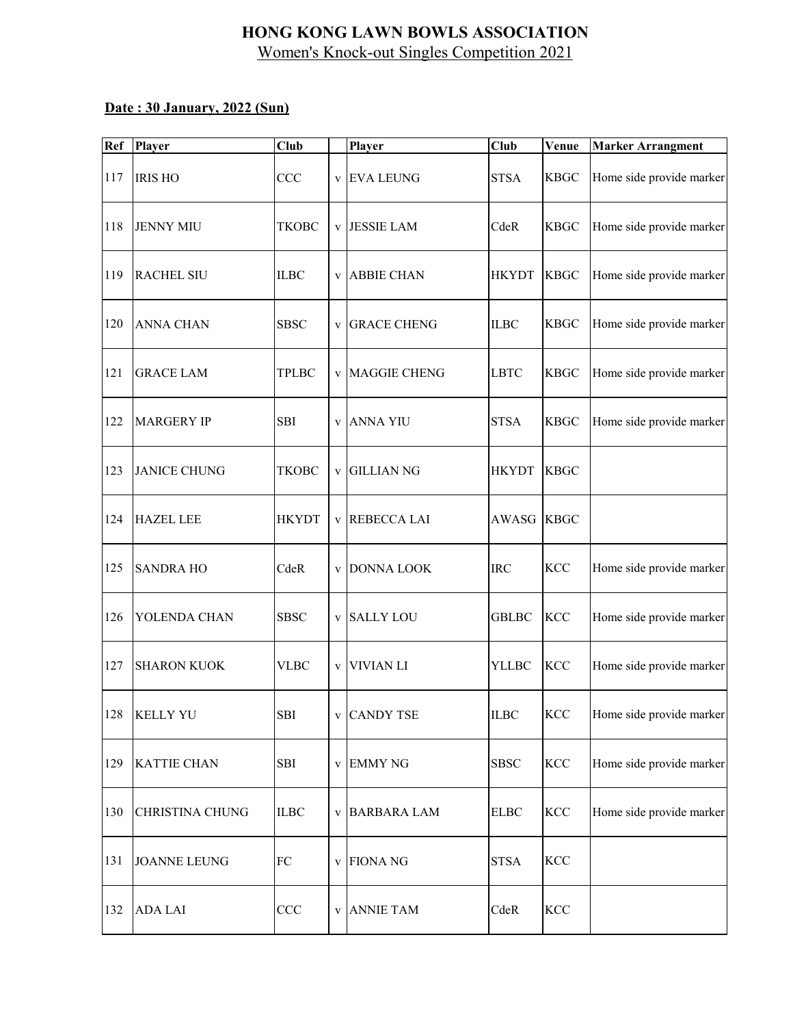| Ref | <b>Player</b>          | <b>Club</b>  |              | Player               | <b>Club</b>  | Venue       | <b>Marker Arrangment</b> |
|-----|------------------------|--------------|--------------|----------------------|--------------|-------------|--------------------------|
| 117 | <b>IRIS HO</b>         | CCC          | $\mathbf{V}$ | <b>EVA LEUNG</b>     | <b>STSA</b>  | <b>KBGC</b> | Home side provide marker |
| 118 | <b>JENNY MIU</b>       | <b>TKOBC</b> | $\mathbf V$  | <b>JESSIE LAM</b>    | CdeR         | <b>KBGC</b> | Home side provide marker |
| 119 | <b>RACHEL SIU</b>      | <b>ILBC</b>  | $\mathbf V$  | <b>ABBIE CHAN</b>    | <b>HKYDT</b> | <b>KBGC</b> | Home side provide marker |
| 120 | <b>ANNA CHAN</b>       | <b>SBSC</b>  | $\mathbf V$  | <b>GRACE CHENG</b>   | <b>ILBC</b>  | <b>KBGC</b> | Home side provide marker |
| 121 | <b>GRACE LAM</b>       | <b>TPLBC</b> |              | v MAGGIE CHENG       | <b>LBTC</b>  | <b>KBGC</b> | Home side provide marker |
| 122 | <b>MARGERY IP</b>      | <b>SBI</b>   |              | v ANNA YIU           | <b>STSA</b>  | <b>KBGC</b> | Home side provide marker |
| 123 | <b>JANICE CHUNG</b>    | <b>TKOBC</b> | $\mathbf V$  | <b>GILLIAN NG</b>    | <b>HKYDT</b> | <b>KBGC</b> |                          |
| 124 | <b>HAZEL LEE</b>       | <b>HKYDT</b> | $\mathbf V$  | <b>REBECCA LAI</b>   | <b>AWASG</b> | <b>KBGC</b> |                          |
| 125 | <b>SANDRA HO</b>       | CdeR         | $\mathbf V$  | <b>DONNA LOOK</b>    | <b>IRC</b>   | <b>KCC</b>  | Home side provide marker |
| 126 | YOLENDA CHAN           | <b>SBSC</b>  | $\mathbf V$  | <b>SALLY LOU</b>     | <b>GBLBC</b> | <b>KCC</b>  | Home side provide marker |
| 127 | <b>SHARON KUOK</b>     | <b>VLBC</b>  | $\mathbf V$  | <b>VIVIAN LI</b>     | <b>YLLBC</b> | KCC         | Home side provide marker |
|     | 128 KELLY YU           | SBI          |              | v CANDY TSE          | <b>ILBC</b>  | <b>KCC</b>  | Home side provide marker |
| 129 | <b>KATTIE CHAN</b>     | <b>SBI</b>   |              | v EMMY NG            | <b>SBSC</b>  | <b>KCC</b>  | Home side provide marker |
| 130 | <b>CHRISTINA CHUNG</b> | ILBC         |              | <b>v BARBARA LAM</b> | ${\rm ELBC}$ | <b>KCC</b>  | Home side provide marker |
| 131 | <b>JOANNE LEUNG</b>    | ${\rm FC}$   | $\mathbf{V}$ | <b>FIONA NG</b>      | <b>STSA</b>  | KCC         |                          |
| 132 | <b>ADA LAI</b>         | CCC          |              | v ANNIE TAM          | CdeR         | <b>KCC</b>  |                          |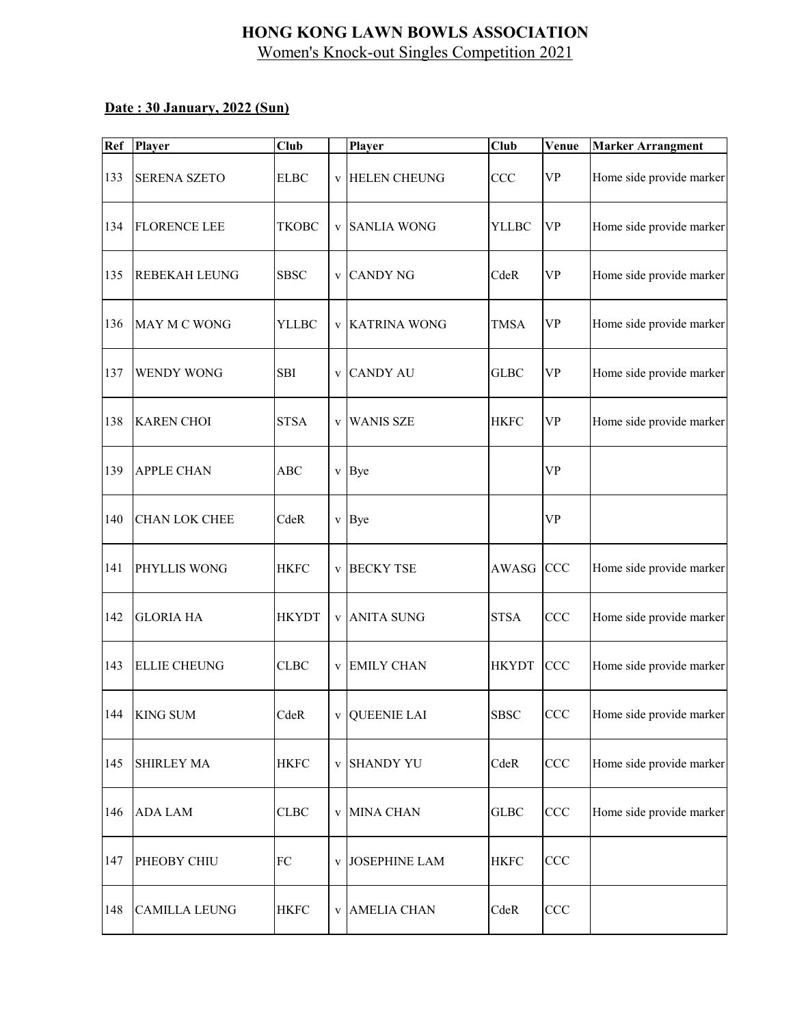| Ref | <b>Player</b>        | <b>Club</b>  | Player                | $\overline{Cl}$ ub | Venue                             | <b>Marker Arrangment</b> |
|-----|----------------------|--------------|-----------------------|--------------------|-----------------------------------|--------------------------|
| 133 | <b>SERENA SZETO</b>  | <b>ELBC</b>  | v HELEN CHEUNG        | CCC                | <b>VP</b>                         | Home side provide marker |
| 134 | <b>FLORENCE LEE</b>  | TKOBC        | v SANLIA WONG         | <b>YLLBC</b>       | <b>VP</b>                         | Home side provide marker |
| 135 | <b>REBEKAH LEUNG</b> | <b>SBSC</b>  | v CANDY NG            | CdeR               | $\ensuremath{\mathsf{VP}}\xspace$ | Home side provide marker |
| 136 | MAY M C WONG         | YLLBC        | <b>v KATRINA WONG</b> | <b>TMSA</b>        | <b>VP</b>                         | Home side provide marker |
| 137 | WENDY WONG           | SBI          | v CANDY AU            | <b>GLBC</b>        | $\ensuremath{\mathsf{VP}}\xspace$ | Home side provide marker |
| 138 | <b>KAREN CHOI</b>    | <b>STSA</b>  | v WANIS SZE           | <b>HKFC</b>        | <b>VP</b>                         | Home side provide marker |
| 139 | <b>APPLE CHAN</b>    | ABC          | v Bye                 |                    | <b>VP</b>                         |                          |
| 140 | <b>CHAN LOK CHEE</b> | CdeR         | v Bye                 |                    | <b>VP</b>                         |                          |
| 141 | PHYLLIS WONG         | <b>HKFC</b>  | v BECKY TSE           | AWASG              | <b>CCC</b>                        | Home side provide marker |
| 142 | <b>GLORIA HA</b>     | <b>HKYDT</b> | v ANITA SUNG          | <b>STSA</b>        | CCC                               | Home side provide marker |
| 143 | <b>ELLIE CHEUNG</b>  | <b>CLBC</b>  | v EMILY CHAN          | <b>HKYDT</b>       | CCC                               | Home side provide marker |
|     | 144 KING SUM         | CdeR         | <b>v</b> QUEENIE LAI  | <b>SBSC</b>        | CCC                               | Home side provide marker |
| 145 | <b>SHIRLEY MA</b>    | <b>HKFC</b>  | v SHANDY YU           | CdeR               | CCC                               | Home side provide marker |
| 146 | <b>ADA LAM</b>       | <b>CLBC</b>  | v MINA CHAN           | <b>GLBC</b>        | CCC                               | Home side provide marker |
| 147 | PHEOBY CHIU          | FC           | v JOSEPHINE LAM       | <b>HKFC</b>        | CCC                               |                          |
| 148 | <b>CAMILLA LEUNG</b> | <b>HKFC</b>  | v AMELIA CHAN         | CdeR               | CCC                               |                          |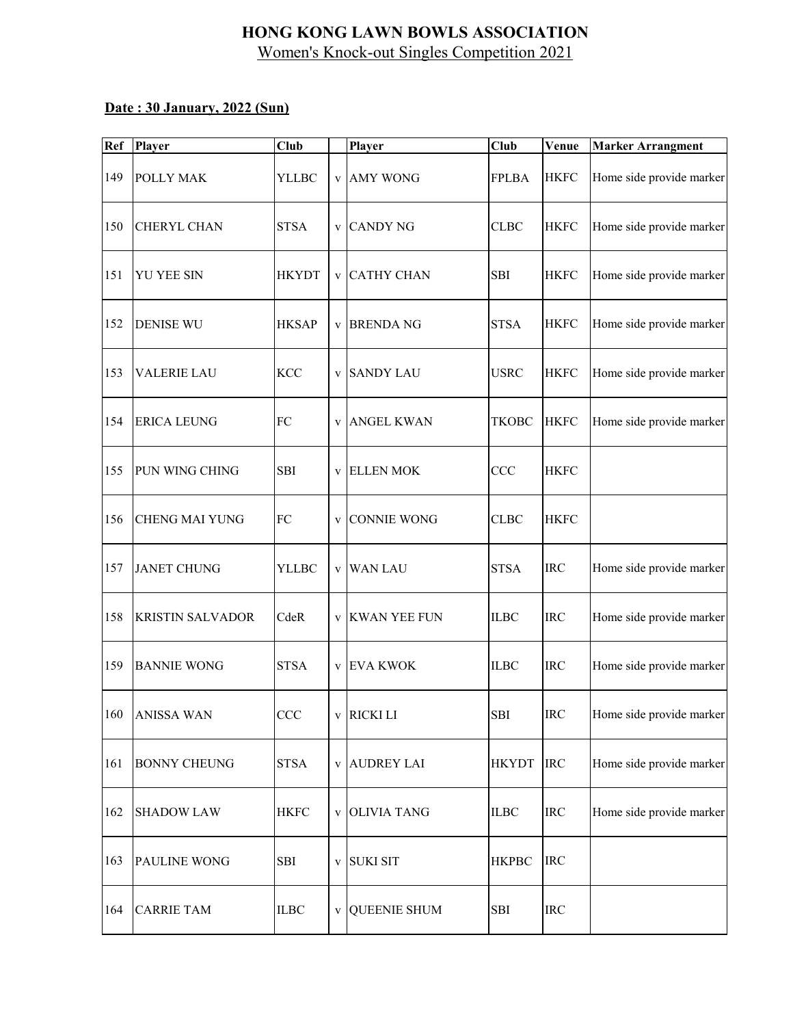| Ref | <b>Player</b>           | <b>Club</b>  |              | Player             | $\overline{Cl}$ ub | Venue       | <b>Marker Arrangment</b> |
|-----|-------------------------|--------------|--------------|--------------------|--------------------|-------------|--------------------------|
| 149 | POLLY MAK               | YLLBC        |              | v AMY WONG         | <b>FPLBA</b>       | <b>HKFC</b> | Home side provide marker |
| 150 | <b>CHERYL CHAN</b>      | <b>STSA</b>  |              | v CANDY NG         | CLBC               | <b>HKFC</b> | Home side provide marker |
| 151 | <b>YU YEE SIN</b>       | <b>HKYDT</b> |              | v CATHY CHAN       | <b>SBI</b>         | <b>HKFC</b> | Home side provide marker |
| 152 | <b>DENISE WU</b>        | <b>HKSAP</b> |              | v BRENDA NG        | <b>STSA</b>        | <b>HKFC</b> | Home side provide marker |
| 153 | <b>VALERIE LAU</b>      | <b>KCC</b>   |              | v SANDY LAU        | <b>USRC</b>        | <b>HKFC</b> | Home side provide marker |
| 154 | <b>ERICA LEUNG</b>      | FC           |              | v ANGEL KWAN       | TKOBC              | <b>HKFC</b> | Home side provide marker |
| 155 | PUN WING CHING          | <b>SBI</b>   |              | <b>v</b> ELLEN MOK | <b>CCC</b>         | <b>HKFC</b> |                          |
| 156 | <b>CHENG MAI YUNG</b>   | FC           | $\mathbf{V}$ | <b>CONNIE WONG</b> | <b>CLBC</b>        | <b>HKFC</b> |                          |
| 157 | <b>JANET CHUNG</b>      | YLLBC        |              | v WAN LAU          | <b>STSA</b>        | <b>IRC</b>  | Home side provide marker |
| 158 | <b>KRISTIN SALVADOR</b> | CdeR         |              | v KWAN YEE FUN     | <b>ILBC</b>        | <b>IRC</b>  | Home side provide marker |
| 159 | <b>BANNIE WONG</b>      | <b>STSA</b>  |              | v EVA KWOK         | <b>ILBC</b>        | <b>IRC</b>  | Home side provide marker |
|     | 160 ANISSA WAN          | CCC          |              | v RICKI LI         | SBI                | <b>IRC</b>  | Home side provide marker |
| 161 | <b>BONNY CHEUNG</b>     | <b>STSA</b>  |              | v AUDREY LAI       | <b>HKYDT</b>       | <b>IRC</b>  | Home side provide marker |
| 162 | <b>SHADOW LAW</b>       | <b>HKFC</b>  |              | v OLIVIA TANG      | <b>ILBC</b>        | <b>IRC</b>  | Home side provide marker |
| 163 | <b>PAULINE WONG</b>     | <b>SBI</b>   |              | v SUKI SIT         | <b>HKPBC</b>       | <b>IRC</b>  |                          |
| 164 | <b>CARRIE TAM</b>       | $\rm ILBC$   |              | v QUEENIE SHUM     | ${\bf SBI}$        | <b>IRC</b>  |                          |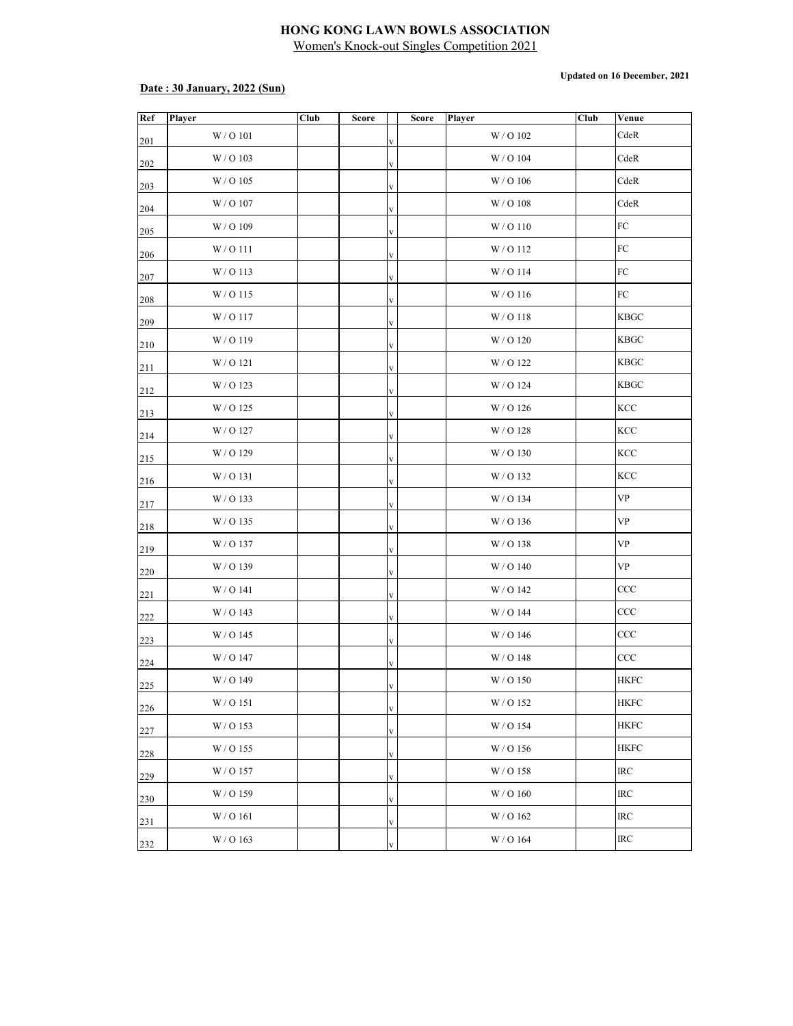#### **Date : 30 January, 2022 (Sun)**

**Updated on 16 December, 2021**

| Ref | Player             | Club | <b>Score</b> |              | Score | Player    | Club | Venue       |
|-----|--------------------|------|--------------|--------------|-------|-----------|------|-------------|
| 201 | W/O <sub>101</sub> |      |              | $\mathbf V$  |       | W/O102    |      | CdeR        |
| 202 | W / O 103          |      |              | $\mathbf V$  |       | W / O 104 |      | CdeR        |
| 203 | W / O 105          |      |              | $\mathbf{V}$ |       | W / O 106 |      | CdeR        |
| 204 | W / O 107          |      |              | V            |       | W/O108    |      | CdeR        |
| 205 | W / O 109          |      |              | V            |       | W/O110    |      | ${\rm FC}$  |
| 206 | W / O 111          |      |              | $\mathbf{V}$ |       | W/O112    |      | FC          |
| 207 | W/O113             |      |              | $\mathbf V$  |       | W/O114    |      | FC          |
| 208 | W/O115             |      |              | $\mathbf{V}$ |       | W/O116    |      | FC          |
| 209 | W/O117             |      |              | $\mathbf{V}$ |       | W/O118    |      | <b>KBGC</b> |
| 210 | W/O119             |      |              | V            |       | W/O120    |      | <b>KBGC</b> |
| 211 | W/O <sub>121</sub> |      |              | $\mathbf{V}$ |       | W/O122    |      | <b>KBGC</b> |
| 212 | W / O 123          |      |              | V            |       | W / O 124 |      | <b>KBGC</b> |
| 213 | W/O 125            |      |              | $\mathbf{V}$ |       | W/O126    |      | KCC         |
| 214 | W / O 127          |      |              | $\mathbf{V}$ |       | W/O128    |      | KCC         |
| 215 | W / O 129          |      |              | $\mathbf V$  |       | W/O130    |      | KCC         |
| 216 | W/O131             |      |              | $\mathbf{V}$ |       | W/O132    |      | KCC         |
| 217 | W/O133             |      |              | $\mathbf{V}$ |       | W / O 134 |      | <b>VP</b>   |
| 218 | W/O135             |      |              | V            |       | W/O136    |      | <b>VP</b>   |
| 219 | W/O137             |      |              | $\mathbf{V}$ |       | W/O138    |      | <b>VP</b>   |
| 220 | W/O139             |      |              | $\mathbf{V}$ |       | W/O140    |      | <b>VP</b>   |
| 221 | W/O141             |      |              | $\mathbf{V}$ |       | W/O142    |      | CCC         |
| 222 | W/O143             |      |              | $\mathbf{V}$ |       | W/O144    |      | CCC         |
| 223 | W/O145             |      |              | V            |       | W/O146    |      | CCC         |
| 224 | W/O147             |      |              | V            |       | W/O148    |      | CCC         |
| 225 | W/O149             |      |              | V            |       | W/O150    |      | <b>HKFC</b> |
| 226 | W/O151             |      |              | V            |       | W/O152    |      | <b>HKFC</b> |
| 227 | W/O 153            |      |              | V            |       | W / O 154 |      | <b>HKFC</b> |
| 228 | W/O 155            |      |              | $\mathbf{V}$ |       | W/O156    |      | <b>HKFC</b> |
| 229 | W/O157             |      |              | V            |       | W/O158    |      | IRC         |
| 230 | W/O159             |      |              | $\mathbf{V}$ |       | W / O 160 |      | IRC         |
| 231 | W/O 161            |      |              | $\mathbf{V}$ |       | W / O 162 |      | IRC         |
| 232 | $\rm W$ / O 163    |      |              | V            |       | W / O 164 |      | IRC         |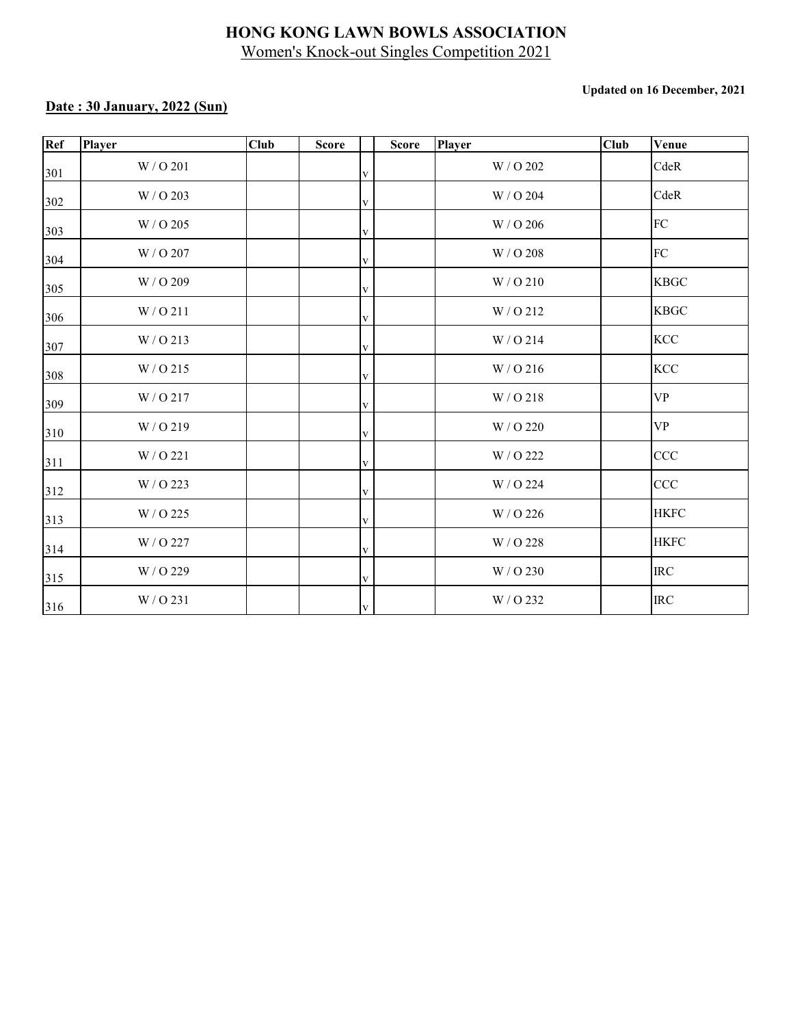#### **Updated on 16 December, 2021**

| Ref | Player    | <b>Club</b> | <b>Score</b> | <b>Score</b> | Player    | <b>Club</b> | Venue       |
|-----|-----------|-------------|--------------|--------------|-----------|-------------|-------------|
| 301 | W / O 201 |             |              | V            | W / O 202 |             | CdeR        |
| 302 | W / O 203 |             |              | V            | W / O 204 |             | CdeR        |
| 303 | W / O 205 |             |              | V            | W / O 206 |             | FC          |
| 304 | W / O 207 |             |              | V            | W / O 208 |             | FC          |
| 305 | W / O 209 |             |              | V            | W/O210    |             | <b>KBGC</b> |
| 306 | W/O211    |             |              | V            | W/O212    |             | <b>KBGC</b> |
| 307 | W/O213    |             |              | V            | W/O214    |             | <b>KCC</b>  |
| 308 | W/O215    |             |              | V            | W/O216    |             | <b>KCC</b>  |
| 309 | W/O217    |             |              | V            | W/O218    |             | <b>VP</b>   |
| 310 | W/O219    |             |              | V            | W / O 220 |             | <b>VP</b>   |
| 311 | W / O 221 |             |              | V            | W / O 222 |             | CCC         |
| 312 | W / O 223 |             |              | V            | W / O 224 |             | CCC         |
| 313 | W / O 225 |             |              | V            | W / O 226 |             | <b>HKFC</b> |
| 314 | W / O 227 |             |              | V            | W / O 228 |             | <b>HKFC</b> |
| 315 | W / O 229 |             |              | V            | W / O 230 |             | <b>IRC</b>  |
| 316 | W / O 231 |             |              | $\mathbf{V}$ | W / O 232 |             | $\rm{IRC}$  |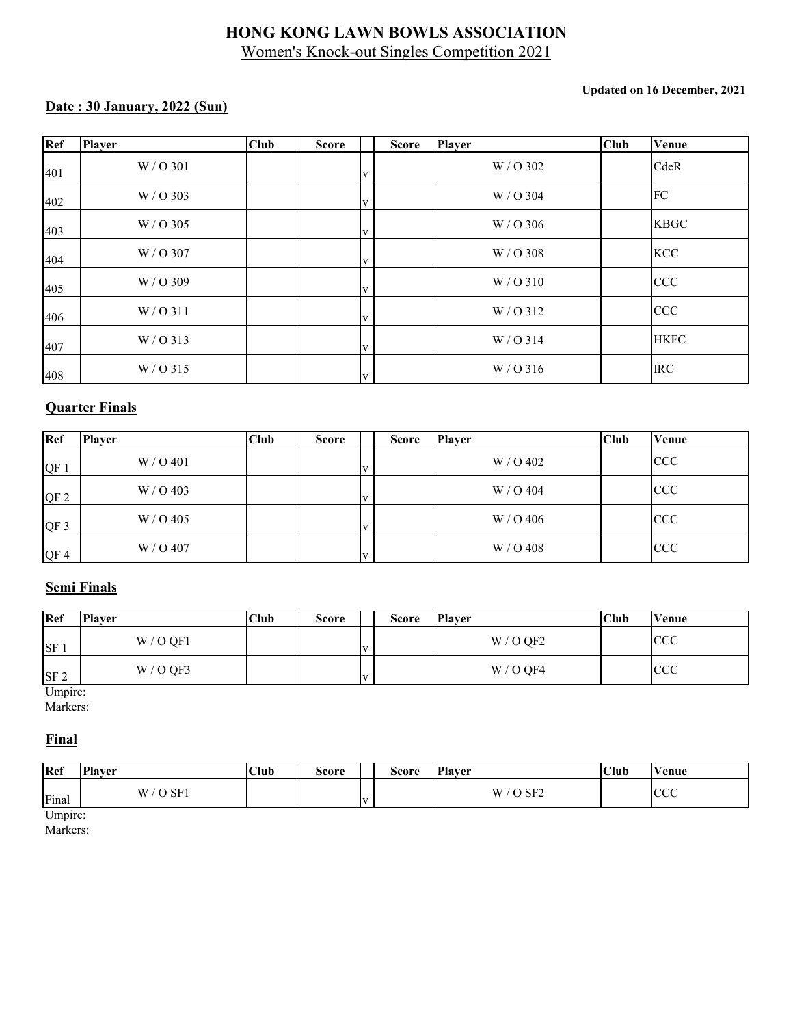#### **Updated on 16 December, 2021**

### **Date : 30 January, 2022 (Sun)**

| Ref | <b>Player</b> | <b>Club</b> | <b>Score</b> | <b>Score</b> | <b>Player</b> | <b>Club</b> | Venue       |
|-----|---------------|-------------|--------------|--------------|---------------|-------------|-------------|
| 401 | $W / O$ 301   |             |              | $\bf{V}$     | W / O 302     |             | CdeR        |
| 402 | W/O 303       |             |              | $\bf{V}$     | W/O 304       |             | FC          |
| 403 | W/O 305       |             |              | $\bf{V}$     | W / O 306     |             | <b>KBGC</b> |
| 404 | W/O 307       |             |              | $\bf{V}$     | W/O 308       |             | <b>KCC</b>  |
| 405 | W/O 309       |             |              | $\bf{V}$     | W/O310        |             | CCC         |
| 406 | W / O 311     |             |              | $\bf{V}$     | W/O312        |             | CCC         |
| 407 | $W / O$ 313   |             |              | $\bf{V}$     | $W / O$ 314   |             | <b>HKFC</b> |
| 408 | W/O 315       |             |              | $\mathbf{V}$ | $W / O$ 316   |             | <b>IRC</b>  |

#### **Quarter Finals**

| Ref             | <b>Player</b> | Club | <b>Score</b> |              | <b>Score</b> | <b>Player</b> | <b>Club</b> | Venue      |
|-----------------|---------------|------|--------------|--------------|--------------|---------------|-------------|------------|
| QF              | W / O 401     |      |              | v            |              | W / O 402     |             | <b>CCC</b> |
| QF <sub>2</sub> | W / O 403     |      |              | v            |              | W / O 404     |             | <b>CCC</b> |
| $QF_3$          | W / O 405     |      |              | $\mathbf{V}$ |              | W / O 406     |             | <b>CCC</b> |
| QF4             | W/O 407       |      |              | V            |              | $W/$ O 408    |             | <b>CCC</b> |

#### **Semi Finals**

| Ref             | <b>Player</b> | <b>Club</b> | <b>Score</b> | <b>Score</b> | <b>Player</b> | <b>Club</b> | Venue      |
|-----------------|---------------|-------------|--------------|--------------|---------------|-------------|------------|
| <b>SF</b>       | W / O QF1     |             |              |              | W / O QF2     |             | <b>CCC</b> |
| SF <sub>2</sub> | W / O QF3     |             |              |              | W / O QF4     |             | <b>CCC</b> |

Umpire:

Markers:

#### **Final**

| <b>Ref</b> | <b>Player</b>                                                | Club | Score | Score | <b>Player</b>                               | Club | Venue       |
|------------|--------------------------------------------------------------|------|-------|-------|---------------------------------------------|------|-------------|
| Final      | $\alpha$ $\Gamma$ <sup>1</sup><br><b>TTT</b><br>$\mathbf{L}$ |      |       |       | $\overline{O}$ SF <sub>2</sub><br>W<br>SF 2 |      | $\sim$<br>w |

Umpire: Markers: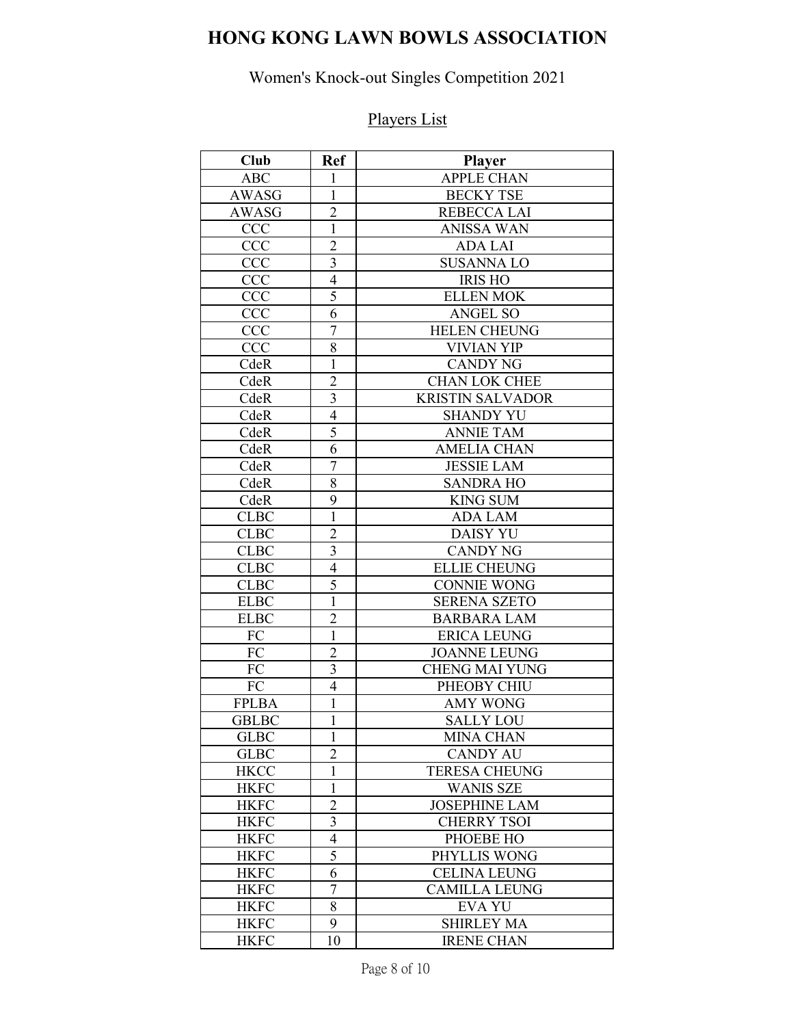# **HONG KONG LAWN BOWLS ASSOCIATION**

## Women's Knock-out Singles Competition 2021

# Players List

| <b>Club</b>  | <b>Ref</b>               | <b>Player</b>           |
|--------------|--------------------------|-------------------------|
| <b>ABC</b>   | 1                        | <b>APPLE CHAN</b>       |
| <b>AWASG</b> | $\mathbf{1}$             | <b>BECKY TSE</b>        |
| <b>AWASG</b> | $\overline{2}$           | REBECCA LAI             |
| <b>CCC</b>   | $\mathbf{1}$             | <b>ANISSA WAN</b>       |
| <b>CCC</b>   | $\overline{c}$           | <b>ADA LAI</b>          |
| <b>CCC</b>   | $\overline{\mathbf{3}}$  | <b>SUSANNALO</b>        |
| <b>CCC</b>   | $\overline{4}$           | <b>IRIS HO</b>          |
| <b>CCC</b>   | 5                        | <b>ELLEN MOK</b>        |
| <b>CCC</b>   | 6                        | <b>ANGEL SO</b>         |
| <b>CCC</b>   | $\overline{7}$           | <b>HELEN CHEUNG</b>     |
| <b>CCC</b>   | 8                        | VIVIAN YIP              |
| CdeR         | $\mathbf{1}$             | <b>CANDY NG</b>         |
| CdeR         | $\overline{2}$           | <b>CHAN LOK CHEE</b>    |
| CdeR         | $\overline{3}$           | <b>KRISTIN SALVADOR</b> |
| CdeR         | $\overline{4}$           | <b>SHANDY YU</b>        |
| CdeR         | 5                        | <b>ANNIE TAM</b>        |
| CdeR         | 6                        | <b>AMELIA CHAN</b>      |
| CdeR         | $\overline{7}$           | <b>JESSIE LAM</b>       |
| CdeR         | 8                        | <b>SANDRA HO</b>        |
| CdeR         | 9                        | <b>KING SUM</b>         |
| <b>CLBC</b>  | $\mathbf{1}$             | <b>ADA LAM</b>          |
| <b>CLBC</b>  | $\overline{2}$           | <b>DAISY YU</b>         |
| <b>CLBC</b>  | $\mathfrak{Z}$           | <b>CANDY NG</b>         |
| <b>CLBC</b>  | $\overline{4}$           | <b>ELLIE CHEUNG</b>     |
| <b>CLBC</b>  | 5                        | <b>CONNIE WONG</b>      |
| <b>ELBC</b>  | $\overline{1}$           | <b>SERENA SZETO</b>     |
| <b>ELBC</b>  | $\overline{c}$           | <b>BARBARA LAM</b>      |
| FC           | $\overline{1}$           | <b>ERICA LEUNG</b>      |
| FC           | $\overline{c}$           | <b>JOANNE LEUNG</b>     |
| FC           | $\overline{\mathbf{3}}$  | <b>CHENG MAI YUNG</b>   |
| FC           | $\overline{4}$           | PHEOBY CHIU             |
| <b>FPLBA</b> | $\mathbf{1}$             | <b>AMY WONG</b>         |
| <b>GBLBC</b> | $\mathbf{1}$             | <b>SALLY LOU</b>        |
| <b>GLBC</b>  | $\mathbf{1}$             | <b>MINA CHAN</b>        |
| <b>GLBC</b>  | $\overline{2}$           | <b>CANDY AU</b>         |
| <b>HKCC</b>  | $\mathbf 1$              | <b>TERESA CHEUNG</b>    |
| <b>HKFC</b>  | $\mathbf{1}$             | <b>WANIS SZE</b>        |
| <b>HKFC</b>  | $\overline{2}$           | <b>JOSEPHINE LAM</b>    |
| <b>HKFC</b>  | $\overline{3}$           | <b>CHERRY TSOI</b>      |
| <b>HKFC</b>  | $\overline{\mathcal{A}}$ | PHOEBE HO               |
| <b>HKFC</b>  | 5                        | PHYLLIS WONG            |
| <b>HKFC</b>  | 6                        | <b>CELINA LEUNG</b>     |
| <b>HKFC</b>  | $\overline{7}$           | <b>CAMILLA LEUNG</b>    |
| <b>HKFC</b>  | 8                        | <b>EVA YU</b>           |
| <b>HKFC</b>  | 9                        | <b>SHIRLEY MA</b>       |
| <b>HKFC</b>  | 10                       | <b>IRENE CHAN</b>       |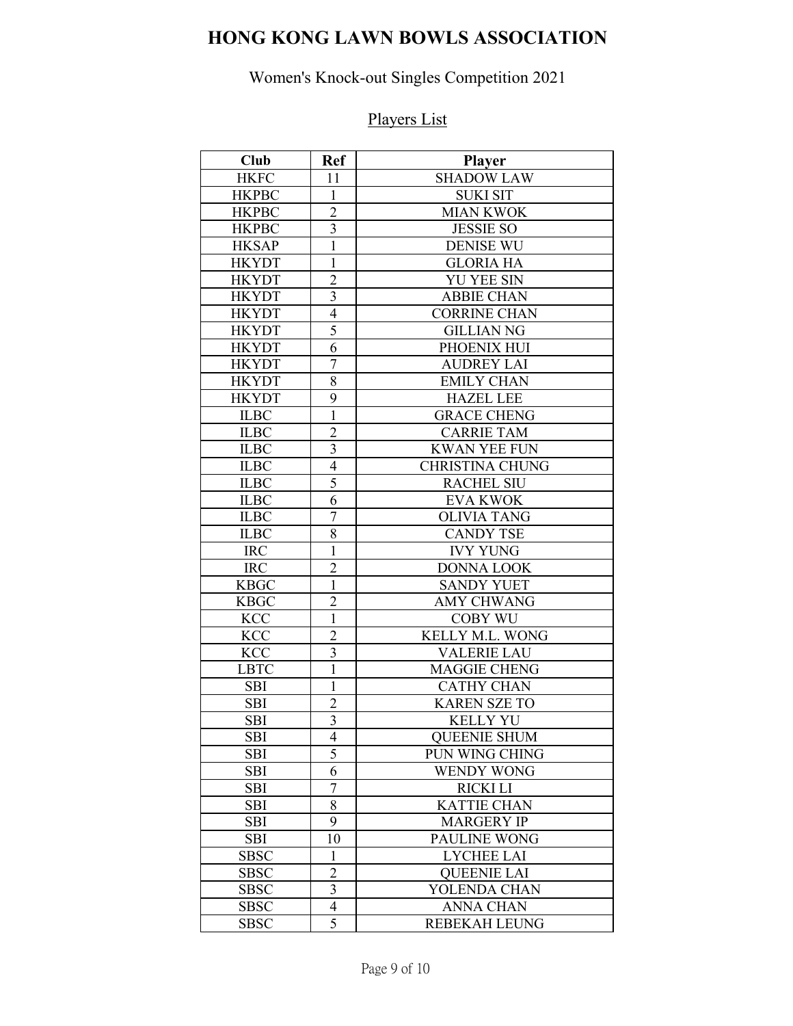# **HONG KONG LAWN BOWLS ASSOCIATION**

## Women's Knock-out Singles Competition 2021

# Players List

| <b>Club</b>  | <b>Ref</b>              | <b>Player</b>          |
|--------------|-------------------------|------------------------|
| <b>HKFC</b>  | 11                      | <b>SHADOW LAW</b>      |
| <b>HKPBC</b> | $\mathbf{1}$            | <b>SUKI SIT</b>        |
| <b>HKPBC</b> | $\overline{2}$          | <b>MIAN KWOK</b>       |
| <b>HKPBC</b> | $\overline{3}$          | <b>JESSIE SO</b>       |
| <b>HKSAP</b> | $\overline{1}$          | <b>DENISE WU</b>       |
| <b>HKYDT</b> | $\mathbf{1}$            | <b>GLORIA HA</b>       |
| <b>HKYDT</b> | $\overline{c}$          | <b>YU YEE SIN</b>      |
| <b>HKYDT</b> | $\overline{\mathbf{3}}$ | <b>ABBIE CHAN</b>      |
| <b>HKYDT</b> | $\overline{4}$          | <b>CORRINE CHAN</b>    |
| <b>HKYDT</b> | 5                       | <b>GILLIAN NG</b>      |
| <b>HKYDT</b> | 6                       | PHOENIX HUI            |
| <b>HKYDT</b> | $\overline{7}$          | <b>AUDREY LAI</b>      |
| <b>HKYDT</b> | 8                       | <b>EMILY CHAN</b>      |
| <b>HKYDT</b> | 9                       | <b>HAZEL LEE</b>       |
| <b>ILBC</b>  | $\overline{1}$          | <b>GRACE CHENG</b>     |
| <b>ILBC</b>  | $\overline{2}$          | <b>CARRIE TAM</b>      |
| <b>ILBC</b>  | 3                       | <b>KWAN YEE FUN</b>    |
| <b>ILBC</b>  | $\overline{4}$          | <b>CHRISTINA CHUNG</b> |
| <b>ILBC</b>  | $\overline{5}$          | <b>RACHEL SIU</b>      |
| <b>ILBC</b>  | 6                       | <b>EVA KWOK</b>        |
| <b>ILBC</b>  | $\boldsymbol{7}$        | <b>OLIVIA TANG</b>     |
| <b>ILBC</b>  | 8                       | <b>CANDY TSE</b>       |
| <b>IRC</b>   | $\mathbf{1}$            | <b>IVY YUNG</b>        |
| <b>IRC</b>   | $\overline{2}$          | <b>DONNA LOOK</b>      |
| <b>KBGC</b>  | $\mathbf{1}$            | <b>SANDY YUET</b>      |
| <b>KBGC</b>  | $\overline{2}$          | <b>AMY CHWANG</b>      |
| <b>KCC</b>   | $\overline{1}$          | <b>COBY WU</b>         |
| <b>KCC</b>   | $\overline{2}$          | KELLY M.L. WONG        |
| <b>KCC</b>   | $\overline{3}$          | <b>VALERIE LAU</b>     |
| <b>LBTC</b>  | $\overline{1}$          | <b>MAGGIE CHENG</b>    |
| <b>SBI</b>   | $\mathbf{1}$            | <b>CATHY CHAN</b>      |
| <b>SBI</b>   | $\overline{c}$          | <b>KAREN SZE TO</b>    |
| <b>SBI</b>   | $\overline{3}$          | <b>KELLY YU</b>        |
| <b>SBI</b>   | 4                       | <b>QUEENIE SHUM</b>    |
| <b>SBI</b>   | $\overline{5}$          | PUN WING CHING         |
| <b>SBI</b>   | 6                       | <b>WENDY WONG</b>      |
| <b>SBI</b>   | $\overline{7}$          | <b>RICKI LI</b>        |
| <b>SBI</b>   | 8                       | <b>KATTIE CHAN</b>     |
| SBI          | 9                       | <b>MARGERY IP</b>      |
| <b>SBI</b>   | 10                      | PAULINE WONG           |
| <b>SBSC</b>  | $\mathbf{1}$            | <b>LYCHEE LAI</b>      |
| <b>SBSC</b>  | $\overline{c}$          | <b>QUEENIE LAI</b>     |
| <b>SBSC</b>  | $\overline{\mathbf{3}}$ | YOLENDA CHAN           |
| <b>SBSC</b>  | 4                       | <b>ANNA CHAN</b>       |
| <b>SBSC</b>  | 5                       | <b>REBEKAH LEUNG</b>   |